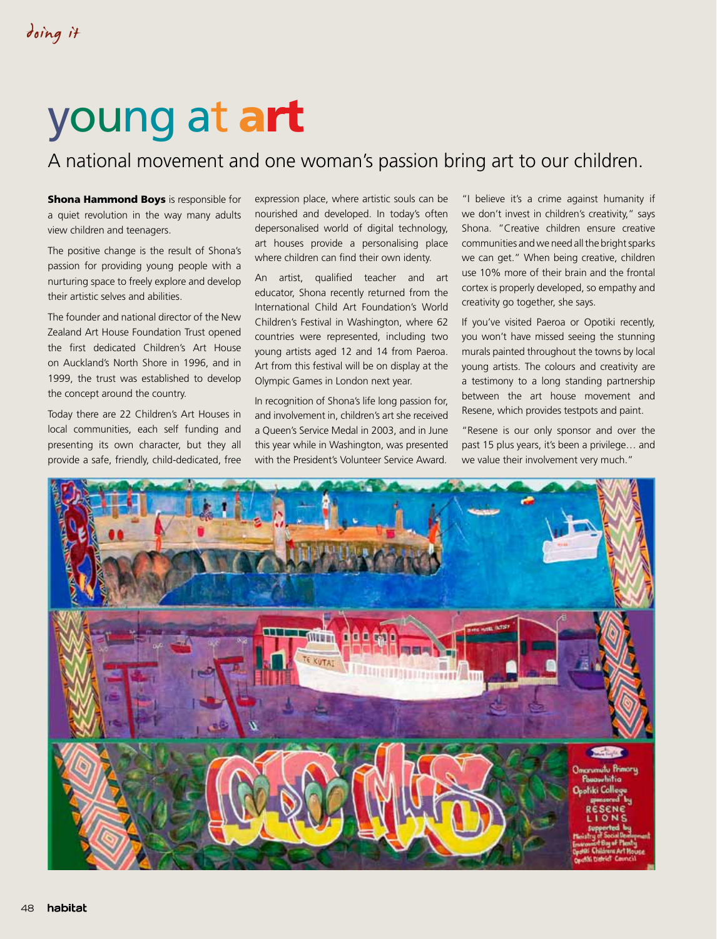## young at art

## A national movement and one woman's passion bring art to our children.

**Shona Hammond Boys** is responsible for a quiet revolution in the way many adults view children and teenagers.

The positive change is the result of Shona's passion for providing young people with a nurturing space to freely explore and develop their artistic selves and abilities.

The founder and national director of the New Zealand Art House Foundation Trust opened the first dedicated Children's Art House on Auckland's North Shore in 1996, and in 1999, the trust was established to develop the concept around the country.

Today there are 22 Children's Art Houses in local communities, each self funding and presenting its own character, but they all provide a safe, friendly, child-dedicated, free expression place, where artistic souls can be nourished and developed. In today's often depersonalised world of digital technology, art houses provide a personalising place where children can find their own identy.

An artist, qualified teacher and art educator, Shona recently returned from the International Child Art Foundation's World Children's Festival in Washington, where 62 countries were represented, including two young artists aged 12 and 14 from Paeroa. Art from this festival will be on display at the Olympic Games in London next year.

In recognition of Shona's life long passion for, and involvement in, children's art she received a Queen's Service Medal in 2003, and in June this year while in Washington, was presented with the President's Volunteer Service Award.

"I believe it's a crime against humanity if we don't invest in children's creativity," says Shona. "Creative children ensure creative communities and we need all the bright sparks we can get." When being creative, children use 10% more of their brain and the frontal cortex is properly developed, so empathy and creativity go together, she says.

If you've visited Paeroa or Opotiki recently, you won't have missed seeing the stunning murals painted throughout the towns by local young artists. The colours and creativity are a testimony to a long standing partnership between the art house movement and Resene, which provides testpots and paint.

"Resene is our only sponsor and over the past 15 plus years, it's been a privilege… and we value their involvement very much."